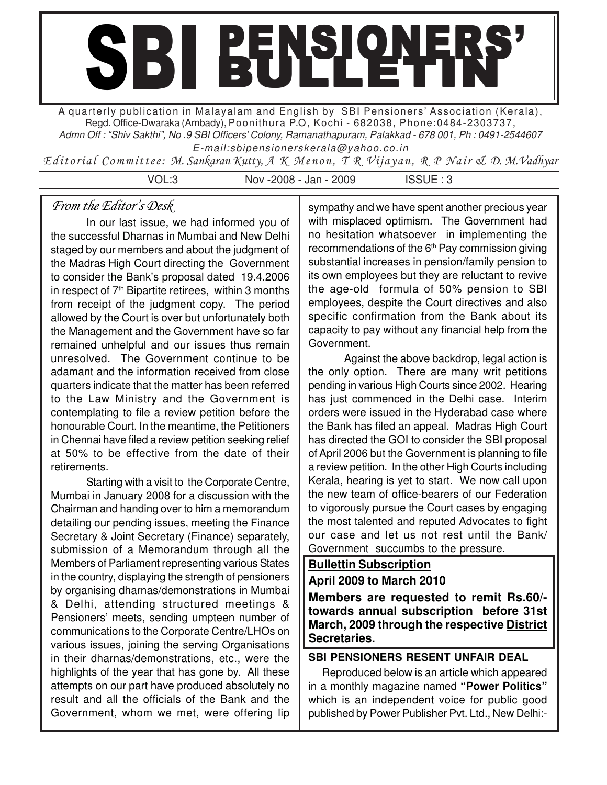# SBI BULLETIN'

A quarterly publication in Malayalam and English by SBI Pensioners' Association (Kerala), Regd. Office-Dwaraka (Ambady), Poonithura P.O, Kochi - 682038, Phone:0484-2303737, Admn Off : "Shiv Sakthi", No .9 SBI Officers' Colony, Ramanathapuram, Palakkad - 678 001, Ph : 0491-2544607

E-mail:sbipensionerskerala@yahoo.co.in

Editorial Committee: M. Sankaran Kutty, A K Menon, T R Vijayan, R P Nair & D. M.Vadhyar

VOL:3 Nov -2008 - Jan - 2009 ISSUE : 3

# From the Editor's Desk

In our last issue, we had informed you of the successful Dharnas in Mumbai and New Delhi staged by our members and about the judgment of the Madras High Court directing the Government to consider the Bank's proposal dated 19.4.2006 in respect of  $7<sup>th</sup>$  Bipartite retirees, within 3 months from receipt of the judgment copy. The period allowed by the Court is over but unfortunately both the Management and the Government have so far remained unhelpful and our issues thus remain unresolved. The Government continue to be adamant and the information received from close quarters indicate that the matter has been referred to the Law Ministry and the Government is contemplating to file a review petition before the honourable Court. In the meantime, the Petitioners in Chennai have filed a review petition seeking relief at 50% to be effective from the date of their retirements.

Starting with a visit to the Corporate Centre, Mumbai in January 2008 for a discussion with the Chairman and handing over to him a memorandum detailing our pending issues, meeting the Finance Secretary & Joint Secretary (Finance) separately, submission of a Memorandum through all the Members of Parliament representing various States in the country, displaying the strength of pensioners by organising dharnas/demonstrations in Mumbai & Delhi, attending structured meetings & Pensioners' meets, sending umpteen number of communications to the Corporate Centre/LHOs on various issues, joining the serving Organisations in their dharnas/demonstrations, etc., were the highlights of the year that has gone by. All these attempts on our part have produced absolutely no result and all the officials of the Bank and the Government, whom we met, were offering lip

sympathy and we have spent another precious year with misplaced optimism. The Government had no hesitation whatsoever in implementing the recommendations of the  $6<sup>th</sup>$  Pay commission giving substantial increases in pension/family pension to its own employees but they are reluctant to revive the age-old formula of 50% pension to SBI employees, despite the Court directives and also specific confirmation from the Bank about its capacity to pay without any financial help from the Government.

Against the above backdrop, legal action is the only option. There are many writ petitions pending in various High Courts since 2002. Hearing has just commenced in the Delhi case. Interim orders were issued in the Hyderabad case where the Bank has filed an appeal. Madras High Court has directed the GOI to consider the SBI proposal of April 2006 but the Government is planning to file a review petition. In the other High Courts including Kerala, hearing is yet to start. We now call upon the new team of office-bearers of our Federation to vigorously pursue the Court cases by engaging the most talented and reputed Advocates to fight our case and let us not rest until the Bank/ Government succumbs to the pressure.

# **Bullettin Subscription April 2009 to March 2010**

**Members are requested to remit Rs.60/ towards annual subscription before 31st March, 2009 through the respective District Secretaries.**

# **SBI PENSIONERS RESENT UNFAIR DEAL**

 Reproduced below is an article which appeared in a monthly magazine named **"Power Politics"** which is an independent voice for public good published by Power Publisher Pvt. Ltd., New Delhi:-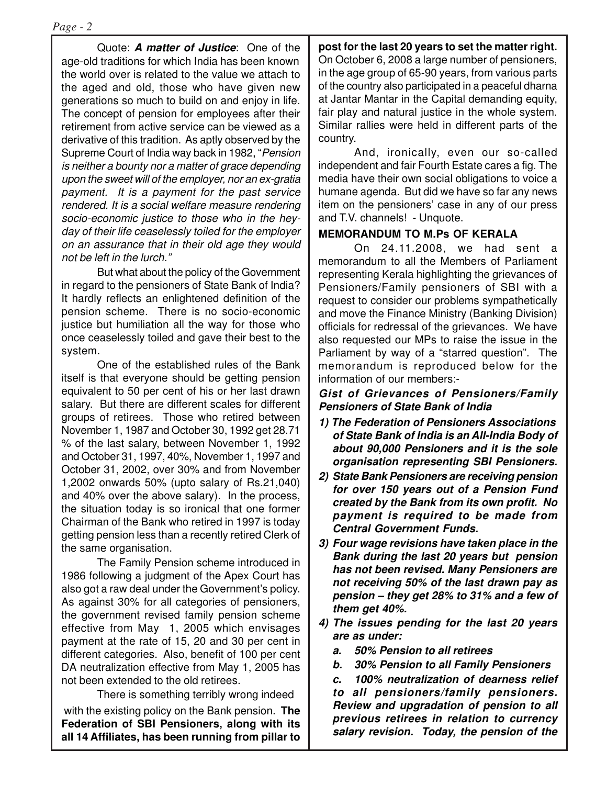Quote: **A matter of Justice**: One of the age-old traditions for which India has been known the world over is related to the value we attach to the aged and old, those who have given new generations so much to build on and enjoy in life. The concept of pension for employees after their retirement from active service can be viewed as a derivative of this tradition. As aptly observed by the Supreme Court of India way back in 1982, "Pension is neither a bounty nor a matter of grace depending upon the sweet will of the employer, nor an ex-gratia payment. It is a payment for the past service rendered. It is a social welfare measure rendering socio-economic justice to those who in the heyday of their life ceaselessly toiled for the employer on an assurance that in their old age they would not be left in the lurch."

But what about the policy of the Government in regard to the pensioners of State Bank of India? It hardly reflects an enlightened definition of the pension scheme. There is no socio-economic justice but humiliation all the way for those who once ceaselessly toiled and gave their best to the system.

One of the established rules of the Bank itself is that everyone should be getting pension equivalent to 50 per cent of his or her last drawn salary. But there are different scales for different groups of retirees. Those who retired between November 1, 1987 and October 30, 1992 get 28.71 % of the last salary, between November 1, 1992 and October 31, 1997, 40%, November 1, 1997 and October 31, 2002, over 30% and from November 1,2002 onwards 50% (upto salary of Rs.21,040) and 40% over the above salary). In the process, the situation today is so ironical that one former Chairman of the Bank who retired in 1997 is today getting pension less than a recently retired Clerk of the same organisation.

The Family Pension scheme introduced in 1986 following a judgment of the Apex Court has also got a raw deal under the Government's policy. As against 30% for all categories of pensioners, the government revised family pension scheme effective from May 1, 2005 which envisages payment at the rate of 15, 20 and 30 per cent in different categories. Also, benefit of 100 per cent DA neutralization effective from May 1, 2005 has not been extended to the old retirees.

There is something terribly wrong indeed with the existing policy on the Bank pension. **The Federation of SBI Pensioners, along with its all 14 Affiliates, has been running from pillar to**

**post for the last 20 years to set the matter right.** On October 6, 2008 a large number of pensioners, in the age group of 65-90 years, from various parts of the country also participated in a peaceful dharna at Jantar Mantar in the Capital demanding equity, fair play and natural justice in the whole system. Similar rallies were held in different parts of the country.

And, ironically, even our so-called independent and fair Fourth Estate cares a fig. The media have their own social obligations to voice a humane agenda. But did we have so far any news item on the pensioners' case in any of our press and T.V. channels! - Unquote.

# **MEMORANDUM TO M.Ps OF KERALA**

On 24.11.2008, we had sent a memorandum to all the Members of Parliament representing Kerala highlighting the grievances of Pensioners/Family pensioners of SBI with a request to consider our problems sympathetically and move the Finance Ministry (Banking Division) officials for redressal of the grievances. We have also requested our MPs to raise the issue in the Parliament by way of a "starred question". The memorandum is reproduced below for the information of our members:-

#### **Gist of Grievances of Pensioners/Family Pensioners of State Bank of India**

- **1) The Federation of Pensioners Associations of State Bank of India is an All-India Body of about 90,000 Pensioners and it is the sole organisation representing SBI Pensioners.**
- **2) State Bank Pensioners are receiving pension for over 150 years out of a Pension Fund created by the Bank from its own profit. No payment is required to be made from Central Government Funds.**
- **3) Four wage revisions have taken place in the Bank during the last 20 years but pension has not been revised. Many Pensioners are not receiving 50% of the last drawn pay as pension – they get 28% to 31% and a few of them get 40%.**
- **4) The issues pending for the last 20 years are as under:**
	- **a. 50% Pension to all retirees**
	- **b. 30% Pension to all Family Pensioners**

**c. 100% neutralization of dearness relief to all pensioners/family pensioners. Review and upgradation of pension to all previous retirees in relation to currency salary revision. Today, the pension of the**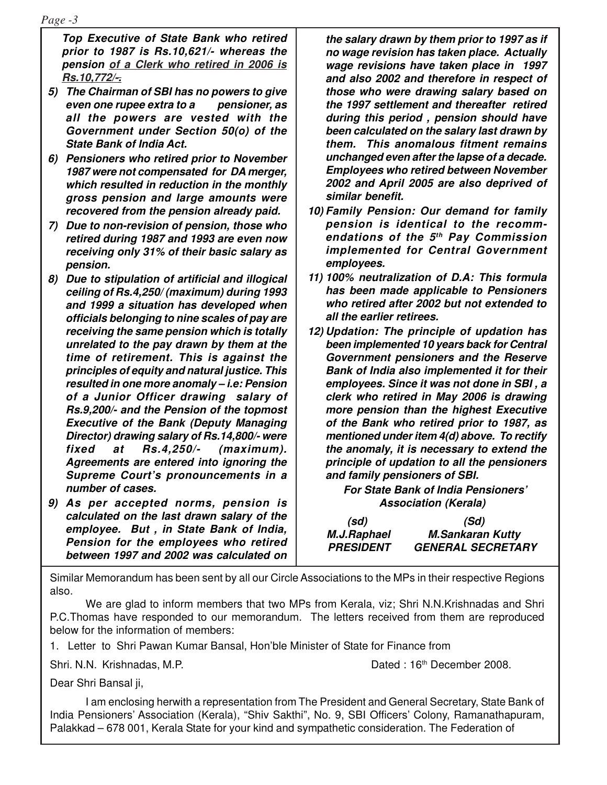**Top Executive of State Bank who retired prior to 1987 is Rs.10,621/- whereas the pension of a Clerk who retired in 2006 is Rs.10,772/-.**

- **5) The Chairman of SBI has no powers to give even one rupee extra to a pensioner, as all the powers are vested with the Government under Section 50(o) of the State Bank of India Act.**
- **6) Pensioners who retired prior to November 1987 were not compensated for DA merger, which resulted in reduction in the monthly gross pension and large amounts were recovered from the pension already paid.**
- **7) Due to non-revision of pension, those who retired during 1987 and 1993 are even now receiving only 31% of their basic salary as pension.**
- **8) Due to stipulation of artificial and illogical ceiling of Rs.4,250/ (maximum) during 1993 and 1999 a situation has developed when officials belonging to nine scales of pay are receiving the same pension which is totally unrelated to the pay drawn by them at the time of retirement. This is against the principles of equity and natural justice. This resulted in one more anomaly – i.e: Pension of a Junior Officer drawing salary of Rs.9,200/- and the Pension of the topmost Executive of the Bank (Deputy Managing Director) drawing salary of Rs.14,800/- were fixed at Rs.4,250/- (maximum). Agreements are entered into ignoring the Supreme Court's pronouncements in a number of cases.**
- **9) As per accepted norms, pension is calculated on the last drawn salary of the employee. But , in State Bank of India, Pension for the employees who retired between 1997 and 2002 was calculated on**

**the salary drawn by them prior to 1997 as if no wage revision has taken place. Actually wage revisions have taken place in 1997 and also 2002 and therefore in respect of those who were drawing salary based on the 1997 settlement and thereafter retired during this period , pension should have been calculated on the salary last drawn by them. This anomalous fitment remains unchanged even after the lapse of a decade. Employees who retired between November 2002 and April 2005 are also deprived of similar benefit.**

- **10) Family Pension: Our demand for family pension is identical to the recommendations of the 5th Pay Commission implemented for Central Government employees.**
- **11) 100% neutralization of D.A: This formula has been made applicable to Pensioners who retired after 2002 but not extended to all the earlier retirees.**
- **12) Updation: The principle of updation has been implemented 10 years back for Central Government pensioners and the Reserve Bank of India also implemented it for their employees. Since it was not done in SBI , a clerk who retired in May 2006 is drawing more pension than the highest Executive of the Bank who retired prior to 1987, as mentioned under item 4(d) above. To rectify the anomaly, it is necessary to extend the principle of updation to all the pensioners and family pensioners of SBI.**

**For State Bank of India Pensioners' Association (Kerala)**

 **(sd) (Sd)**

 **M.J.Raphael M.Sankaran Kutty PRESIDENT GENERAL SECRETARY**

Similar Memorandum has been sent by all our Circle Associations to the MPs in their respective Regions also.

We are glad to inform members that two MPs from Kerala, viz; Shri N.N.Krishnadas and Shri P.C.Thomas have responded to our memorandum. The letters received from them are reproduced below for the information of members:

1. Letter to Shri Pawan Kumar Bansal, Hon'ble Minister of State for Finance from

Shri. N.N. Krishnadas, M.P. Charles Communication of the Dated : 16th December 2008.

Dear Shri Bansal ji,

I am enclosing herwith a representation from The President and General Secretary, State Bank of India Pensioners' Association (Kerala), "Shiv Sakthi", No. 9, SBI Officers' Colony, Ramanathapuram, Palakkad – 678 001, Kerala State for your kind and sympathetic consideration. The Federation of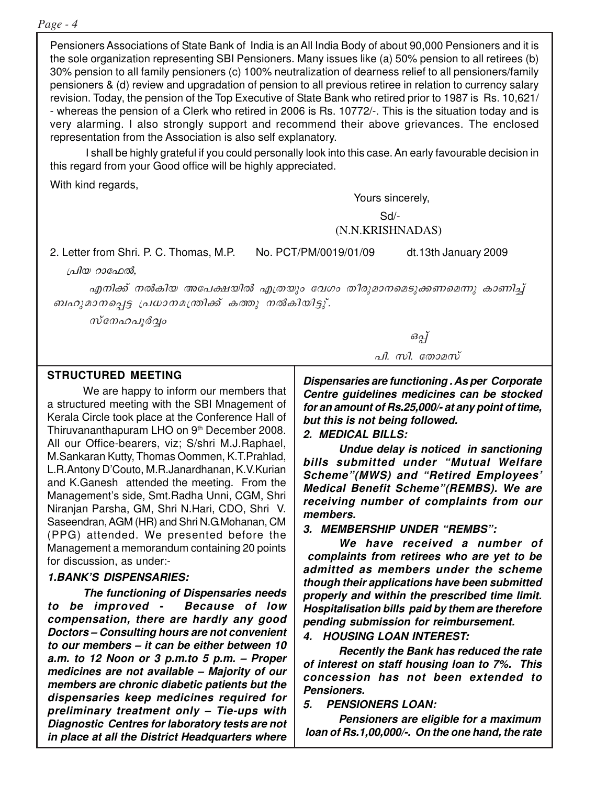#### *Page - 4*

Pensioners Associations of State Bank of India is an All India Body of about 90,000 Pensioners and it is the sole organization representing SBI Pensioners. Many issues like (a) 50% pension to all retirees (b) 30% pension to all family pensioners (c) 100% neutralization of dearness relief to all pensioners/family pensioners & (d) review and upgradation of pension to all previous retiree in relation to currency salary revision. Today, the pension of the Top Executive of State Bank who retired prior to 1987 is Rs. 10,621/ - whereas the pension of a Clerk who retired in 2006 is Rs. 10772/-. This is the situation today and is very alarming. I also strongly support and recommend their above grievances. The enclosed representation from the Association is also self explanatory.

I shall be highly grateful if you could personally look into this case. An early favourable decision in this regard from your Good office will be highly appreciated.

With kind regards,

Yours sincerely,

Sd/-

#### (N.N.KRISHNADAS)

2. Letter from Shri. P. C. Thomas, M.P. No. PCT/PM/0019/01/09 dt.13th January 2009

പ്രിയ റാഫേൽ,

എനിക്ക് നൽകിയ അപേക്ഷയിൽ എത്രയും വേഗം തീരുമാനമെടുക്കണമെന്നു കാണിച്ച് ബഹുമാനപ്പെട്ട പ്രധാനമന്ത്രിക്ക് കത്തു നൽകിയിട്ടു്.

സ്നേഹപൂർവ്വം

#### **STRUCTURED MEETING**

We are happy to inform our members that a structured meeting with the SBI Mnagement of Kerala Circle took place at the Conference Hall of Thiruvananthapuram LHO on 9<sup>th</sup> December 2008. All our Office-bearers, viz; S/shri M.J.Raphael, M.Sankaran Kutty, Thomas Oommen, K.T.Prahlad, L.R.Antony D'Couto, M.R.Janardhanan, K.V.Kurian and K.Ganesh attended the meeting. From the Management's side, Smt.Radha Unni, CGM, Shri Niranjan Parsha, GM, Shri N.Hari, CDO, Shri V. Saseendran, AGM (HR) and Shri N.G.Mohanan, CM (PPG) attended. We presented before the Management a memorandum containing 20 points for discussion, as under:-

#### **1.BANK'S DISPENSARIES:**

**The functioning of Dispensaries needs to be improved - Because of low compensation, there are hardly any good Doctors – Consulting hours are not convenient to our members – it can be either between 10 a.m. to 12 Noon or 3 p.m.to 5 p.m. – Proper medicines are not available – Majority of our members are chronic diabetic patients but the dispensaries keep medicines required for preliminary treatment only – Tie-ups with Diagnostic Centres for laboratory tests are not in place at all the District Headquarters where**

 $\partial g$ பு പി. സി. തോമസ്

**Dispensaries are functioning . As per Corporate Centre guidelines medicines can be stocked for an amount of Rs.25,000/- at any point of time, but this is not being followed.**

**2. MEDICAL BILLS:**

**Undue delay is noticed in sanctioning bills submitted under "Mutual Welfare Scheme"(MWS) and "Retired Employees' Medical Benefit Scheme"(REMBS). We are receiving number of complaints from our members.**

**3. MEMBERSHIP UNDER "REMBS":**

**We have received a number of complaints from retirees who are yet to be admitted as members under the scheme though their applications have been submitted properly and within the prescribed time limit. Hospitalisation bills paid by them are therefore pending submission for reimbursement.**

**4. HOUSING LOAN INTEREST:**

**Recently the Bank has reduced the rate of interest on staff housing loan to 7%. This concession has not been extended to Pensioners.**

**5. PENSIONERS LOAN:**

**Pensioners are eligible for a maximum loan of Rs.1,00,000/-. On the one hand, the rate**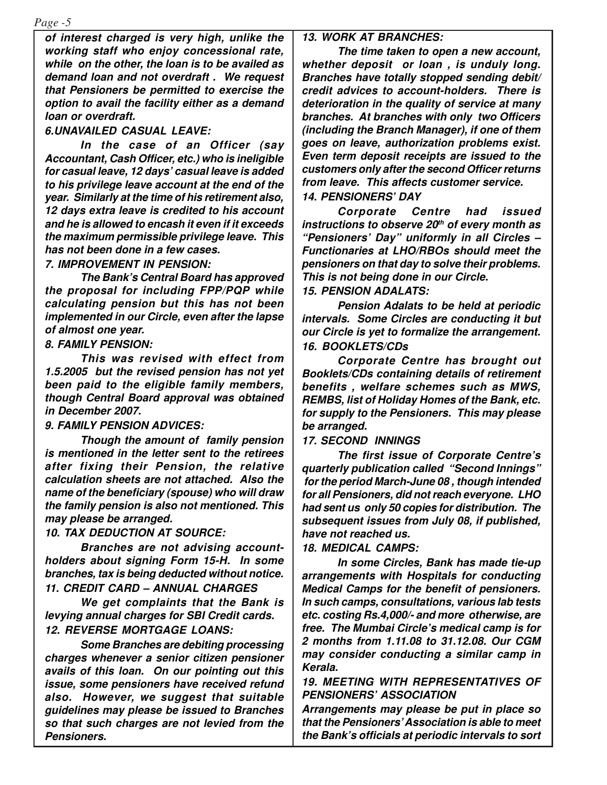*Page -5*

**of interest charged is very high, unlike the working staff who enjoy concessional rate, while on the other, the loan is to be availed as demand loan and not overdraft . We request that Pensioners be permitted to exercise the option to avail the facility either as a demand loan or overdraft.**

#### **6.UNAVAILED CASUAL LEAVE:**

**In the case of an Officer (say Accountant, Cash Officer, etc.) who is ineligible for casual leave, 12 days' casual leave is added to his privilege leave account at the end of the year. Similarly at the time of his retirement also, 12 days extra leave is credited to his account and he is allowed to encash it even if it exceeds the maximum permissible privilege leave. This has not been done in a few cases.**

#### **7. IMPROVEMENT IN PENSION:**

**The Bank's Central Board has approved the proposal for including FPP/PQP while calculating pension but this has not been implemented in our Circle, even after the lapse of almost one year.**

**8. FAMILY PENSION:**

**This was revised with effect from 1.5.2005 but the revised pension has not yet been paid to the eligible family members, though Central Board approval was obtained in December 2007.**

#### **9. FAMILY PENSION ADVICES:**

**Though the amount of family pension is mentioned in the letter sent to the retirees after fixing their Pension, the relative calculation sheets are not attached. Also the name of the beneficiary (spouse) who will draw the family pension is also not mentioned. This may please be arranged.**

**10. TAX DEDUCTION AT SOURCE:**

**Branches are not advising accountholders about signing Form 15-H. In some branches, tax is being deducted without notice. 11. CREDIT CARD – ANNUAL CHARGES**

**We get complaints that the Bank is levying annual charges for SBI Credit cards. 12. REVERSE MORTGAGE LOANS:**

**Some Branches are debiting processing charges whenever a senior citizen pensioner avails of this loan. On our pointing out this issue, some pensioners have received refund also. However, we suggest that suitable guidelines may please be issued to Branches so that such charges are not levied from the Pensioners.**

#### **13. WORK AT BRANCHES:**

**The time taken to open a new account, whether deposit or loan , is unduly long. Branches have totally stopped sending debit/ credit advices to account-holders. There is deterioration in the quality of service at many branches. At branches with only two Officers (including the Branch Manager), if one of them goes on leave, authorization problems exist. Even term deposit receipts are issued to the customers only after the second Officer returns from leave. This affects customer service. 14. PENSIONERS' DAY**

**Corporate Centre had issued instructions to observe 20th of every month as "Pensioners' Day" uniformly in all Circles – Functionaries at LHO/RBOs should meet the pensioners on that day to solve their problems. This is not being done in our Circle. 15. PENSION ADALATS:**

**Pension Adalats to be held at periodic intervals. Some Circles are conducting it but our Circle is yet to formalize the arrangement. 16. BOOKLETS/CDs**

**Corporate Centre has brought out Booklets/CDs containing details of retirement benefits , welfare schemes such as MWS, REMBS, list of Holiday Homes of the Bank, etc. for supply to the Pensioners. This may please be arranged.**

#### **17. SECOND INNINGS**

**The first issue of Corporate Centre's quarterly publication called "Second Innings" for the period March-June 08 , though intended for all Pensioners, did not reach everyone. LHO had sent us only 50 copies for distribution. The subsequent issues from July 08, if published, have not reached us.**

#### **18. MEDICAL CAMPS:**

**In some Circles, Bank has made tie-up arrangements with Hospitals for conducting Medical Camps for the benefit of pensioners. In such camps, consultations, various lab tests etc. costing Rs.4,000/- and more otherwise, are free. The Mumbai Circle's medical camp is for 2 months from 1.11.08 to 31.12.08. Our CGM may consider conducting a similar camp in Kerala.**

**19. MEETING WITH REPRESENTATIVES OF PENSIONERS' ASSOCIATION**

**Arrangements may please be put in place so that the Pensioners'Association is able to meet the Bank's officials at periodic intervals to sort**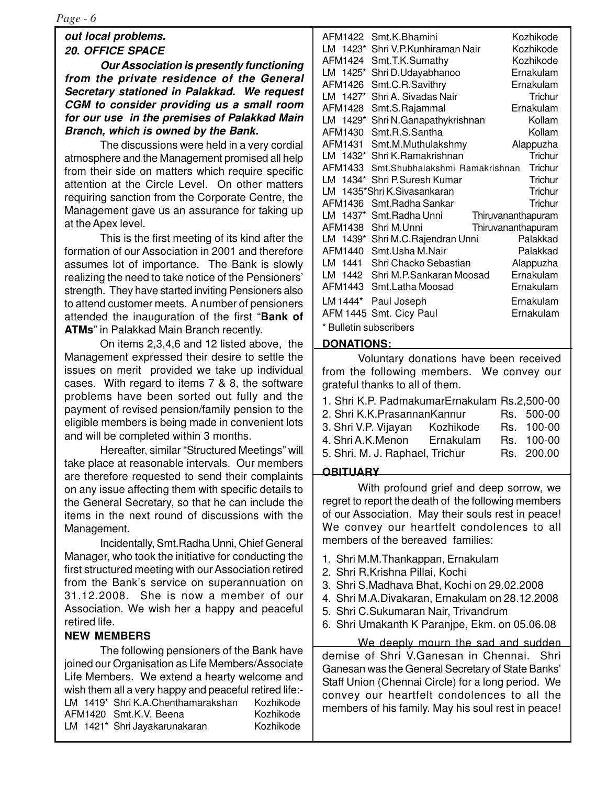# **out local problems. 20. OFFICE SPACE**

**Our Association is presently functioning from the private residence of the General Secretary stationed in Palakkad. We request CGM to consider providing us a small room for our use in the premises of Palakkad Main Branch, which is owned by the Bank.**

The discussions were held in a very cordial atmosphere and the Management promised all help from their side on matters which require specific attention at the Circle Level. On other matters requiring sanction from the Corporate Centre, the Management gave us an assurance for taking up at the Apex level.

This is the first meeting of its kind after the formation of our Association in 2001 and therefore assumes lot of importance. The Bank is slowly realizing the need to take notice of the Pensioners' strength. They have started inviting Pensioners also to attend customer meets. A number of pensioners attended the inauguration of the first "**Bank of ATMs**" in Palakkad Main Branch recently.

On items 2,3,4,6 and 12 listed above, the Management expressed their desire to settle the issues on merit provided we take up individual cases. With regard to items 7 & 8, the software problems have been sorted out fully and the payment of revised pension/family pension to the eligible members is being made in convenient lots and will be completed within 3 months.

Hereafter, similar "Structured Meetings" will take place at reasonable intervals. Our members are therefore requested to send their complaints on any issue affecting them with specific details to the General Secretary, so that he can include the items in the next round of discussions with the Management.

Incidentally, Smt.Radha Unni, Chief General Manager, who took the initiative for conducting the first structured meeting with our Association retired from the Bank's service on superannuation on 31.12.2008. She is now a member of our Association. We wish her a happy and peaceful retired life.

## **NEW MEMBERS**

The following pensioners of the Bank have joined our Organisation as Life Members/Associate Life Members. We extend a hearty welcome and wish them all a very happy and peaceful retired life:- LM 1419\* Shri K.A.Chenthamarakshan Kozhikode AFM1420 Smt.K.V. Beena Kozhikode LM 1421\* Shri Jayakarunakaran Kozhikode

|                        | AFM1422 Smt.K.Bhamini          | Kozhikode          |  |
|------------------------|--------------------------------|--------------------|--|
| LM 1423*               | Shri V.P.Kunhiraman Nair       | Kozhikode          |  |
| AFM1424                | Smt.T.K.Sumathy                | Kozhikode          |  |
| LM 1425*               | Shri D.Udayabhanoo             | Ernakulam          |  |
| AFM1426                | Smt.C.R.Savithry               | Ernakulam          |  |
| LM 1427*               | Shri A. Sivadas Nair           | Trichur            |  |
| AFM1428                | Smt.S.Rajammal                 | Ernakulam          |  |
| LM 1429*               | Shri N.Ganapathykrishnan       | Kollam             |  |
| AFM1430                | Smt.R.S.Santha                 | Kollam             |  |
| AFM1431                | Smt.M.Muthulakshmy             | Alappuzha          |  |
| LM 1432*               | Shri K.Ramakrishnan            | Trichur            |  |
| AFM1433                | Smt.Shubhalakshmi Ramakrishnan | Trichur            |  |
|                        | LM 1434* Shri P.Suresh Kumar   | Trichur            |  |
|                        | LM 1435*Shri K.Sivasankaran    | Trichur            |  |
| AFM1436                | Smt.Radha Sankar               | Trichur            |  |
| LM 1437*               | Smt.Radha Unni                 | Thiruvananthapuram |  |
| AFM1438                | Shri M.Unni                    | Thiruvananthapuram |  |
| LM 1439*               | Shri M.C.Rajendran Unni        | Palakkad           |  |
| AFM1440                | Smt. Usha M.Nair               | Palakkad           |  |
| LM 1441                | Shri Chacko Sebastian          | Alappuzha          |  |
| LM<br>1442             | Shri M.P.Sankaran Moosad       | Ernakulam          |  |
| AFM1443                | Smt.Latha Moosad               | Ernakulam          |  |
| LM 1444*               | Paul Joseph                    | Ernakulam          |  |
|                        | AFM 1445 Smt. Cicy Paul        | Ernakulam          |  |
| * Bulletin subscribers |                                |                    |  |

#### **DONATIONS:**

Voluntary donations have been received from the following members. We convey our grateful thanks to all of them.

|  | 1. Shri K.P. PadmakumarErnakulam Rs.2,500-00 |  |
|--|----------------------------------------------|--|
|  |                                              |  |

| 2. Shri K.K. Prasannan Kannur   |           |  | Rs. 500-00 |
|---------------------------------|-----------|--|------------|
| 3. Shri V.P. Vijayan            | Kozhikode |  | Rs. 100-00 |
| 4. Shri A.K.Menon               | Ernakulam |  | Rs. 100-00 |
| 5. Shri. M. J. Raphael, Trichur |           |  | Rs. 200.00 |
|                                 |           |  |            |

#### **OBITUARY**

With profound grief and deep sorrow, we regret to report the death of the following members of our Association. May their souls rest in peace! We convey our heartfelt condolences to all members of the bereaved families:

- 1. Shri M.M.Thankappan, Ernakulam
- 2. Shri R.Krishna Pillai, Kochi
- 3. Shri S.Madhava Bhat, Kochi on 29.02.2008
- 4. Shri M.A.Divakaran, Ernakulam on 28.12.2008
- 5. Shri C.Sukumaran Nair, Trivandrum
- 6. Shri Umakanth K Paranjpe, Ekm. on 05.06.08

We deeply mourn the sad and sudden demise of Shri V.Ganesan in Chennai. Shri Ganesan was the General Secretary of State Banks' Staff Union (Chennai Circle) for a long period. We convey our heartfelt condolences to all the members of his family. May his soul rest in peace!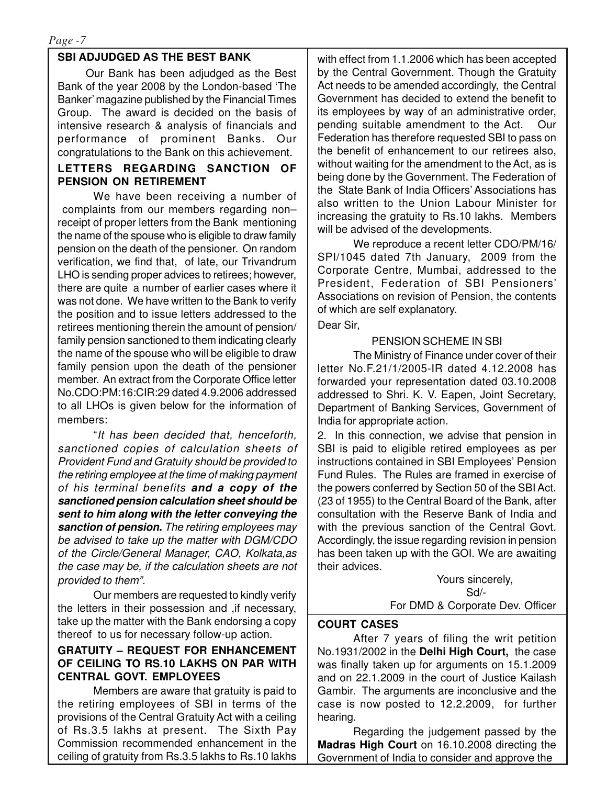## **SBI ADJUDGED AS THE BEST BANK**

Our Bank has been adjudged as the Best Bank of the year 2008 by the London-based 'The Banker' magazine published by the Financial Times Group. The award is decided on the basis of intensive research & analysis of financials and performance of prominent Banks. Our congratulations to the Bank on this achievement.

#### **LETTERS REGARDING SANCTION OF PENSION ON RETIREMENT**

We have been receiving a number of complaints from our members regarding non– receipt of proper letters from the Bank mentioning the name of the spouse who is eligible to draw family pension on the death of the pensioner. On random verification, we find that, of late, our Trivandrum LHO is sending proper advices to retirees; however, there are quite a number of earlier cases where it was not done. We have written to the Bank to verify the position and to issue letters addressed to the retirees mentioning therein the amount of pension/ family pension sanctioned to them indicating clearly the name of the spouse who will be eligible to draw family pension upon the death of the pensioner member. An extract from the Corporate Office letter No.CDO:PM:16:CIR:29 dated 4.9.2006 addressed to all LHOs is given below for the information of members:

"It has been decided that, henceforth, sanctioned copies of calculation sheets of Provident Fund and Gratuity should be provided to the retiring employee at the time of making payment of his terminal benefits **and a copy of the sanctioned pension calculation sheet should be sent to him along with the letter conveying the sanction of pension.** The retiring employees may be advised to take up the matter with DGM/CDO of the Circle/General Manager, CAO, Kolkata,as the case may be, if the calculation sheets are not provided to them".

Our members are requested to kindly verify the letters in their possession and ,if necessary, take up the matter with the Bank endorsing a copy thereof to us for necessary follow-up action.

## **GRATUITY – REQUEST FOR ENHANCEMENT OF CEILING TO RS.10 LAKHS ON PAR WITH CENTRAL GOVT. EMPLOYEES**

Members are aware that gratuity is paid to the retiring employees of SBI in terms of the provisions of the Central Gratuity Act with a ceiling of Rs.3.5 lakhs at present. The Sixth Pay Commission recommended enhancement in the ceiling of gratuity from Rs.3.5 lakhs to Rs.10 lakhs

with effect from 1.1.2006 which has been accepted by the Central Government. Though the Gratuity Act needs to be amended accordingly, the Central Government has decided to extend the benefit to its employees by way of an administrative order, pending suitable amendment to the Act. Our Federation has therefore requested SBI to pass on the benefit of enhancement to our retirees also, without waiting for the amendment to the Act, as is being done by the Government. The Federation of the State Bank of India Officers'Associations has also written to the Union Labour Minister for increasing the gratuity to Rs.10 lakhs. Members will be advised of the developments.

We reproduce a recent letter CDO/PM/16/ SPI/1045 dated 7th January, 2009 from the Corporate Centre, Mumbai, addressed to the President, Federation of SBI Pensioners' Associations on revision of Pension, the contents of which are self explanatory.

Dear Sir,

## PENSION SCHEME IN SBI

The Ministry of Finance under cover of their letter No.F.21/1/2005-IR dated 4.12.2008 has forwarded your representation dated 03.10.2008 addressed to Shri. K. V. Eapen, Joint Secretary, Department of Banking Services, Government of India for appropriate action.

2. In this connection, we advise that pension in SBI is paid to eligible retired employees as per instructions contained in SBI Employees' Pension Fund Rules. The Rules are framed in exercise of the powers conferred by Section 50 of the SBI Act. (23 of 1955) to the Central Board of the Bank, after consultation with the Reserve Bank of India and with the previous sanction of the Central Govt. Accordingly, the issue regarding revision in pension has been taken up with the GOI. We are awaiting their advices.

> Yours sincerely, Sd/-

#### For DMD & Corporate Dev. Officer

#### **COURT CASES**

After 7 years of filing the writ petition No.1931/2002 in the **Delhi High Court,** the case was finally taken up for arguments on 15.1.2009 and on 22.1.2009 in the court of Justice Kailash Gambir. The arguments are inconclusive and the case is now posted to 12.2.2009, for further hearing.

Regarding the judgement passed by the **Madras High Court** on 16.10.2008 directing the Government of India to consider and approve the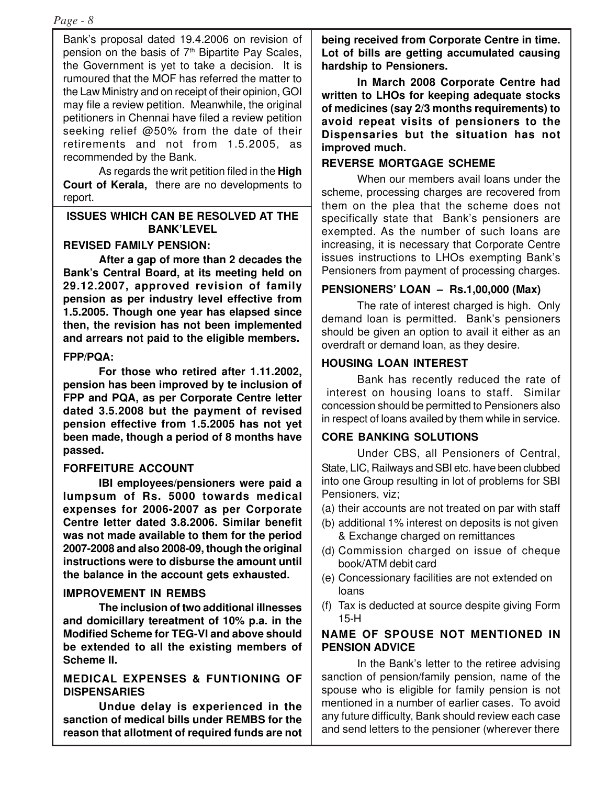Bank's proposal dated 19.4.2006 on revision of pension on the basis of  $7<sup>th</sup>$  Bipartite Pay Scales, the Government is yet to take a decision. It is rumoured that the MOF has referred the matter to the Law Ministry and on receipt of their opinion, GOI may file a review petition. Meanwhile, the original petitioners in Chennai have filed a review petition seeking relief @50% from the date of their retirements and not from 1.5.2005, as recommended by the Bank.

As regards the writ petition filed in the **High Court of Kerala,** there are no developments to report.

#### **ISSUES WHICH CAN BE RESOLVED AT THE BANK'LEVEL**

# **REVISED FAMILY PENSION:**

**After a gap of more than 2 decades the Bank's Central Board, at its meeting held on 29.12.2007, approved revision of family pension as per industry level effective from 1.5.2005. Though one year has elapsed since then, the revision has not been implemented and arrears not paid to the eligible members.**

#### **FPP/PQA:**

**For those who retired after 1.11.2002, pension has been improved by te inclusion of FPP and PQA, as per Corporate Centre letter dated 3.5.2008 but the payment of revised pension effective from 1.5.2005 has not yet been made, though a period of 8 months have passed.**

## **FORFEITURE ACCOUNT**

**IBI employees/pensioners were paid a lumpsum of Rs. 5000 towards medical expenses for 2006-2007 as per Corporate Centre letter dated 3.8.2006. Similar benefit was not made available to them for the period 2007-2008 and also 2008-09, though the original instructions were to disburse the amount until the balance in the account gets exhausted.**

## **IMPROVEMENT IN REMBS**

**The inclusion of two additional illnesses and domicillary tereatment of 10% p.a. in the Modified Scheme for TEG-VI and above should be extended to all the existing members of Scheme II.**

#### **MEDICAL EXPENSES & FUNTIONING OF DISPENSARIES**

**Undue delay is experienced in the sanction of medical bills under REMBS for the reason that allotment of required funds are not** **being received from Corporate Centre in time. Lot of bills are getting accumulated causing hardship to Pensioners.**

**In March 2008 Corporate Centre had written to LHOs for keeping adequate stocks of medicines (say 2/3 months requirements) to avoid repeat visits of pensioners to the Dispensaries but the situation has not improved much.**

# **REVERSE MORTGAGE SCHEME**

When our members avail loans under the scheme, processing charges are recovered from them on the plea that the scheme does not specifically state that Bank's pensioners are exempted. As the number of such loans are increasing, it is necessary that Corporate Centre issues instructions to LHOs exempting Bank's Pensioners from payment of processing charges.

# **PENSIONERS' LOAN – Rs.1,00,000 (Max)**

The rate of interest charged is high. Only demand loan is permitted. Bank's pensioners should be given an option to avail it either as an overdraft or demand loan, as they desire.

# **HOUSING LOAN INTEREST**

Bank has recently reduced the rate of interest on housing loans to staff. Similar concession should be permitted to Pensioners also in respect of loans availed by them while in service.

# **CORE BANKING SOLUTIONS**

Under CBS, all Pensioners of Central, State, LIC, Railways and SBI etc. have been clubbed into one Group resulting in lot of problems for SBI Pensioners, viz;

- (a) their accounts are not treated on par with staff
- (b) additional 1% interest on deposits is not given & Exchange charged on remittances
- (d) Commission charged on issue of cheque book/ATM debit card
- (e) Concessionary facilities are not extended on loans
- (f) Tax is deducted at source despite giving Form 15-H

# **NAME OF SPOUSE NOT MENTIONED IN PENSION ADVICE**

In the Bank's letter to the retiree advising sanction of pension/family pension, name of the spouse who is eligible for family pension is not mentioned in a number of earlier cases. To avoid any future difficulty, Bank should review each case and send letters to the pensioner (wherever there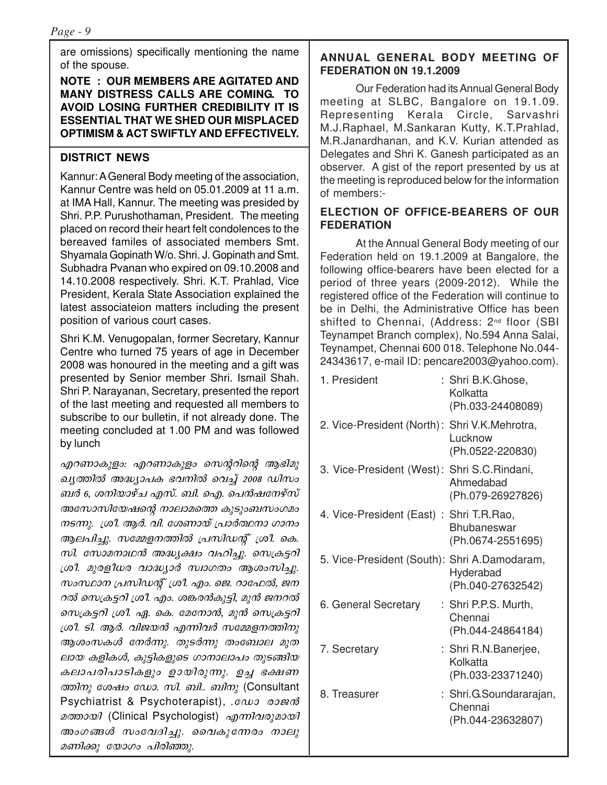are omissions) specifically mentioning the name of the spouse.

#### **NOTE : OUR MEMBERS ARE AGITATED AND MANY DISTRESS CALLS ARE COMING. TO AVOID LOSING FURTHER CREDIBILITY IT IS ESSENTIAL THAT WE SHED OUR MISPLACED OPTIMISM & ACT SWIFTLY AND EFFECTIVELY.**

# **DISTRICT NEWS**

Kannur: A General Body meeting of the association, Kannur Centre was held on 05.01.2009 at 11 a.m. at IMA Hall, Kannur. The meeting was presided by Shri. P.P. Purushothaman, President. The meeting placed on record their heart felt condolences to the bereaved familes of associated members Smt. Shyamala Gopinath W/o. Shri. J. Gopinath and Smt. Subhadra Pvanan who expired on 09.10.2008 and 14.10.2008 respectively. Shri. K.T. Prahlad, Vice President, Kerala State Association explained the latest associateion matters including the present position of various court cases.

Shri K.M. Venugopalan, former Secretary, Kannur Centre who turned 75 years of age in December 2008 was honoured in the meeting and a gift was presented by Senior member Shri. Ismail Shah. Shri P. Narayanan, Secretary, presented the report of the last meeting and requested all members to subscribe to our bulletin, if not already done. The meeting concluded at 1.00 PM and was followed by lunch

എറണാകുളം: എറണാകുളം സെന്ററിന്റെ ആഭിമു ചൃത്തിൽ അദ്ധ്യാപക ഭവനിൽ വെച്ച് 2008 ഡിസം ബർ 6, ശനിയാഴ്ച എസ്. ബി. ഐ. പെൻഷനേഴ്സ് അസോസിയേഷന്റെ നാലാമത്തെ കുടുംബസംഗമം നടന്നു.  $\mu$ ം ആർ. വി. ശേണായ് പ്രാർത്ഥനാ ഗാനം ആലപിച്ചു. സമ്മേളനത്തിൽ പ്രസിഡന്റ് ശ്രീ. കെ.  $m$ . സോമനാഥൻ അദ്ധ്യക്ഷം വഹിച്ചു. സെക്രട്ടറി ്രരീ. മുരളീധര വാദ്ധ്യാർ സ്വാഗതം ആശംസിച്ചു. സംസ്ഥാന പ്രസിഡന്റ് ശ്രീ. എം. ജെ. റാഫേൽ, ജന റൽ സെക്രട്ടറി ശ്രീ. എം. ശങ്കരൻകുട്ടി, മുൻ ജനറൽ സെക്രട്ടറി ശ്രീ. ഏ. കെ. മേനോൻ, മുൻ സെക്രട്ടറി  ${[i\omega}$ . sl. ആർ. വിജയൻ എന്നിവർ സമ്മേളനത്തിനു ആശംസകൾ നേർന്നു. തുടർന്നു തംബോല മുത ലായ കളികൾ, കുട്ടികളുടെ ഗാനാലാപം തുടങ്ങിയ കലാപരിപാടികളും ഉായിരുന്നു. ഉച്ച ഭക്ഷണ  $\omega$ <sub>0</sub>  $\omega$ <sub>2</sub>  $\omega$ <sub>2</sub>  $\omega$ <sub>2</sub>  $\omega$ <sub>2</sub>.  $\omega$ <sub>1</sub>.  $\omega$ <sub>1</sub> $\omega$ <sub>2</sub> (Consultant Psychiatrist & Psychoterapist), eavo comm മത്തായി (Clinical Psychologist) എന്നിവരുമായി അംഗങ്ങൾ സംവേദിച്ചു. വൈകുന്നേരം നാലു മണിക്കു യോഗം പിരിഞ്ഞു.

# **ANNUAL GENERAL BODY MEETING OF FEDERATION 0N 19.1.2009**

Our Federation had its Annual General Body meeting at SLBC, Bangalore on 19.1.09. Representing Kerala Circle, Sarvashri M.J.Raphael, M.Sankaran Kutty, K.T.Prahlad, M.R.Janardhanan, and K.V. Kurian attended as Delegates and Shri K. Ganesh participated as an observer. A gist of the report presented by us at the meeting is reproduced below for the information of members:-

# **ELECTION OF OFFICE-BEARERS OF OUR FEDERATION**

At the Annual General Body meeting of our Federation held on 19.1.2009 at Bangalore, the following office-bearers have been elected for a period of three years (2009-2012). While the registered office of the Federation will continue to be in Delhi, the Administrative Office has been shifted to Chennai, (Address: 2<sup>nd</sup> floor (SBI Teynampet Branch complex), No.594 Anna Salai, Teynampet, Chennai 600 018. Telephone No.044- 24343617, e-mail ID: pencare2003@yahoo.com).

| 1. President                                  | : Shri B.K.Ghose,<br>Kolkatta<br>(Ph.033-24408089)      |
|-----------------------------------------------|---------------------------------------------------------|
| 2. Vice-President (North): Shri V.K.Mehrotra, | Lucknow<br>(Ph.0522-220830)                             |
| 3. Vice-President (West): Shri S.C. Rindani,  | Ahmedabad<br>(Ph.079-26927826)                          |
| 4. Vice-President (East): Shri T.R.Rao,       | Bhubaneswar<br>(Ph.0674-2551695)                        |
| 5. Vice-President (South): Shri A.Damodaram,  | Hyderabad<br>(Ph.040-27632542)                          |
| 6. General Secretary                          | : Shri P.P.S. Murth,<br>Chennai<br>(Ph.044-24864184)    |
| 7. Secretary                                  | : Shri R.N.Banerjee,<br>Kolkatta<br>(Ph.033-23371240)   |
| 8. Treasurer                                  | : Shri.G.Soundararajan,<br>Chennai<br>(Ph.044-23632807) |